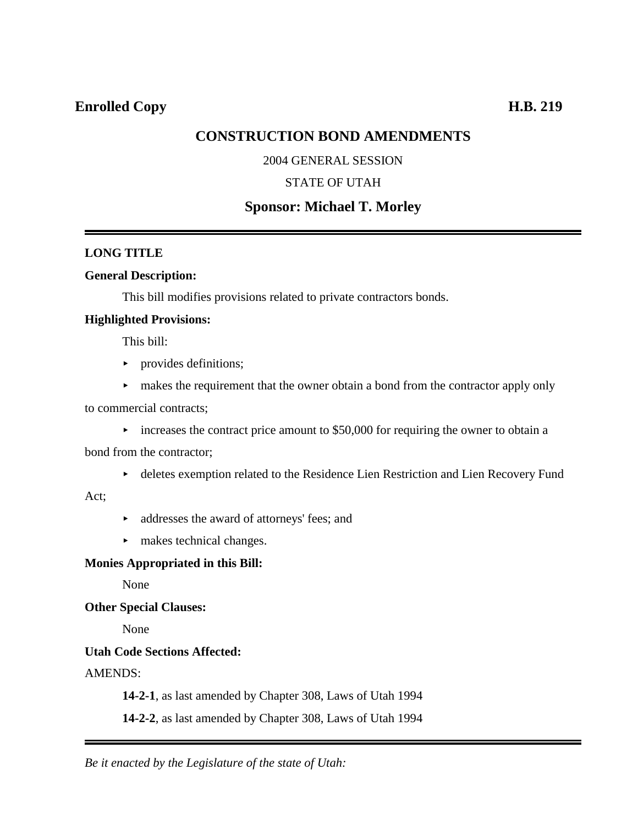# **CONSTRUCTION BOND AMENDMENTS**

### 2004 GENERAL SESSION

### STATE OF UTAH

## **Sponsor: Michael T. Morley**

### **LONG TITLE**

#### **General Description:**

This bill modifies provisions related to private contractors bonds.

#### **Highlighted Provisions:**

This bill:

- $\blacktriangleright$  provides definitions;
- $\blacktriangleright$  makes the requirement that the owner obtain a bond from the contractor apply only
- to commercial contracts;
	- $\blacktriangleright$  increases the contract price amount to \$50,000 for requiring the owner to obtain a

bond from the contractor;

< deletes exemption related to the Residence Lien Restriction and Lien Recovery Fund

#### Act;

- addresses the award of attorneys' fees; and
- $\blacktriangleright$  makes technical changes.

#### **Monies Appropriated in this Bill:**

None

**Other Special Clauses:**

None

#### **Utah Code Sections Affected:**

### AMENDS:

**14-2-1**, as last amended by Chapter 308, Laws of Utah 1994

**14-2-2**, as last amended by Chapter 308, Laws of Utah 1994

*Be it enacted by the Legislature of the state of Utah:*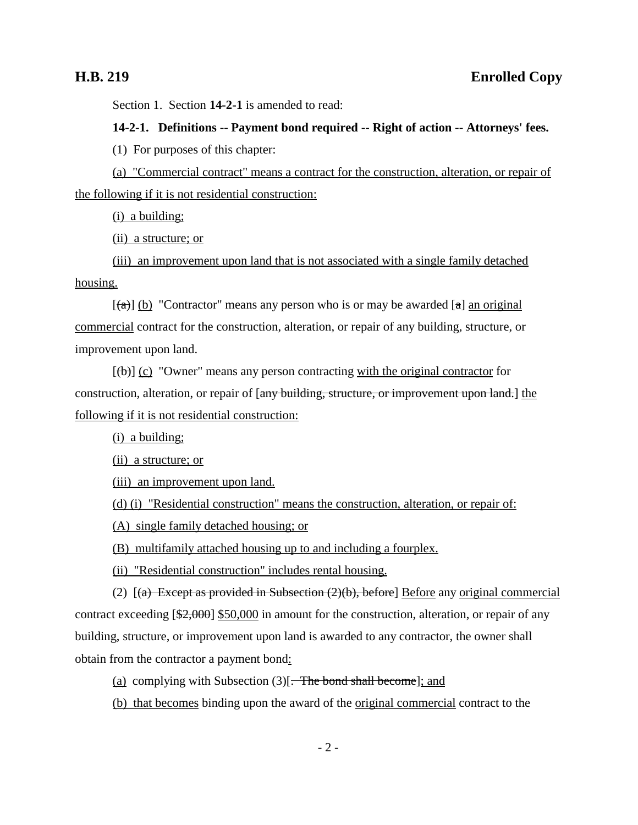Section 1. Section **14-2-1** is amended to read:

#### **14-2-1. Definitions -- Payment bond required -- Right of action -- Attorneys' fees.**

(1) For purposes of this chapter:

(a) "Commercial contract" means a contract for the construction, alteration, or repair of the following if it is not residential construction:

(i) a building;

(ii) a structure; or

(iii) an improvement upon land that is not associated with a single family detached housing.

 $[(a)]$  (b) "Contractor" means any person who is or may be awarded  $[a]$  an original commercial contract for the construction, alteration, or repair of any building, structure, or improvement upon land.

 $[(\theta)]$  (c) "Owner" means any person contracting with the original contractor for construction, alteration, or repair of [any building, structure, or improvement upon land.] the following if it is not residential construction:

(i) a building;

(ii) a structure; or

(iii) an improvement upon land.

(d) (i) "Residential construction" means the construction, alteration, or repair of:

(A) single family detached housing; or

(B) multifamily attached housing up to and including a fourplex.

(ii) "Residential construction" includes rental housing.

(2)  $[(a)$  Except as provided in Subsection  $(2)(b)$ , before Before any original commercial contract exceeding [\$2,000] \$50,000 in amount for the construction, alteration, or repair of any building, structure, or improvement upon land is awarded to any contractor, the owner shall obtain from the contractor a payment bond:

(a) complying with Subsection  $(3)$ . The bond shall become]; and

(b) that becomes binding upon the award of the original commercial contract to the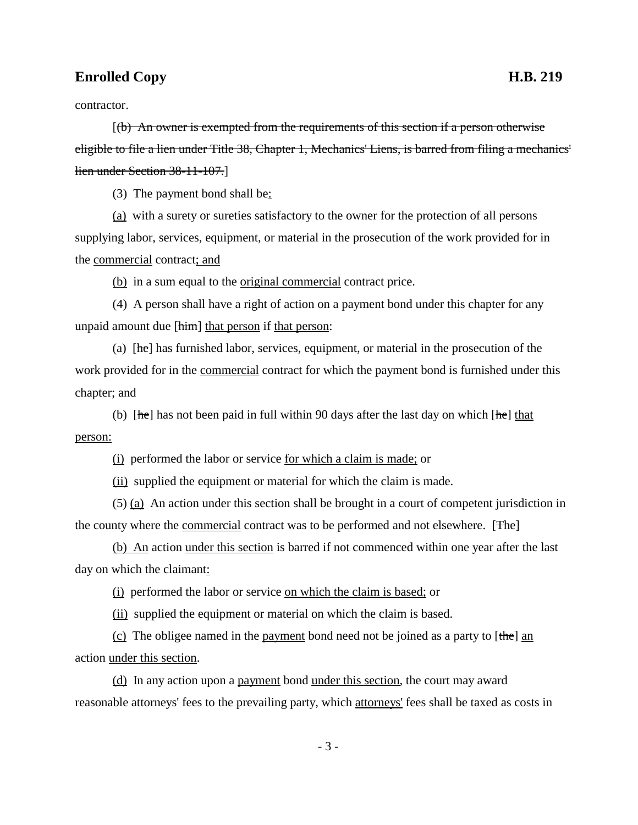## **Enrolled Copy H.B. 219**

contractor.

[(b) An owner is exempted from the requirements of this section if a person otherwise eligible to file a lien under Title 38, Chapter 1, Mechanics' Liens, is barred from filing a mechanics' lien under Section 38-11-107.]

(3) The payment bond shall be:

(a) with a surety or sureties satisfactory to the owner for the protection of all persons supplying labor, services, equipment, or material in the prosecution of the work provided for in the commercial contract; and

(b) in a sum equal to the original commercial contract price.

(4) A person shall have a right of action on a payment bond under this chapter for any unpaid amount due [him] that person if that person:

(a)  $[he]$  has furnished labor, services, equipment, or material in the prosecution of the work provided for in the commercial contract for which the payment bond is furnished under this chapter; and

(b) [he] has not been paid in full within 90 days after the last day on which [he] that person:

(i) performed the labor or service for which a claim is made; or

(ii) supplied the equipment or material for which the claim is made.

(5) (a) An action under this section shall be brought in a court of competent jurisdiction in the county where the commercial contract was to be performed and not elsewhere. [The]

(b) An action under this section is barred if not commenced within one year after the last day on which the claimant:

(i) performed the labor or service on which the claim is based; or

(ii) supplied the equipment or material on which the claim is based.

(c) The obligee named in the payment bond need not be joined as a party to  $[\theta]$  and action under this section.

(d) In any action upon a payment bond under this section, the court may award reasonable attorneys' fees to the prevailing party, which attorneys' fees shall be taxed as costs in